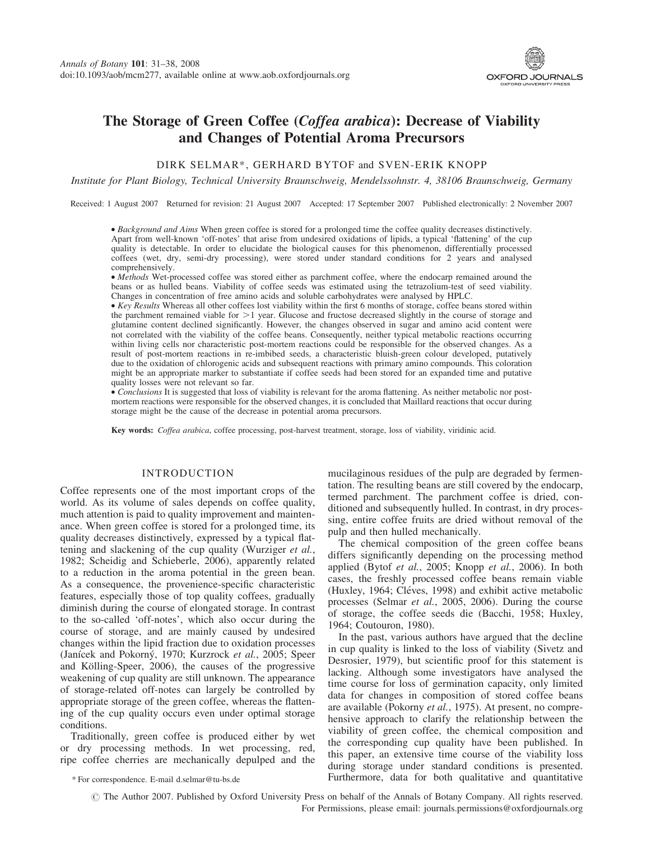

# The Storage of Green Coffee (Coffea arabica): Decrease of Viability and Changes of Potential Aroma Precursors

## DIRK SELMAR\*, GERHARD BYTOF and SVEN-ERIK KNOPP

Institute for Plant Biology, Technical University Braunschweig, Mendelssohnstr. 4, 38106 Braunschweig, Germany

Received: 1 August 2007 Returned for revision: 21 August 2007 Accepted: 17 September 2007 Published electronically: 2 November 2007

† Background and Aims When green coffee is stored for a prolonged time the coffee quality decreases distinctively. Apart from well-known 'off-notes' that arise from undesired oxidations of lipids, a typical 'flattening' of the cup quality is detectable. In order to elucidate the biological causes for this phenomenon, differentially processed coffees (wet, dry, semi-dry processing), were stored under standard conditions for 2 years and analysed comprehensively.

• Methods Wet-processed coffee was stored either as parchment coffee, where the endocarp remained around the beans or as hulled beans. Viability of coffee seeds was estimated using the tetrazolium-test of seed viability. Changes in concentration of free amino acids and soluble carbohydrates were analysed by HPLC.

• Key Results Whereas all other coffees lost viability within the first 6 months of storage, coffee beans stored within the parchment remained viable for  $>1$  year. Glucose and fructose decreased slightly in the course of storage and glutamine content declined significantly. However, the changes observed in sugar and amino acid content were not correlated with the viability of the coffee beans. Consequently, neither typical metabolic reactions occurring within living cells nor characteristic post-mortem reactions could be responsible for the observed changes. As a result of post-mortem reactions in re-imbibed seeds, a characteristic bluish-green colour developed, putatively due to the oxidation of chlorogenic acids and subsequent reactions with primary amino compounds. This coloration might be an appropriate marker to substantiate if coffee seeds had been stored for an expanded time and putative quality losses were not relevant so far.

• Conclusions It is suggested that loss of viability is relevant for the aroma flattening. As neither metabolic nor postmortem reactions were responsible for the observed changes, it is concluded that Maillard reactions that occur during storage might be the cause of the decrease in potential aroma precursors.

Key words: Coffea arabica, coffee processing, post-harvest treatment, storage, loss of viability, viridinic acid.

#### INTRODUCTION

Coffee represents one of the most important crops of the world. As its volume of sales depends on coffee quality, much attention is paid to quality improvement and maintenance. When green coffee is stored for a prolonged time, its quality decreases distinctively, expressed by a typical flattening and slackening of the cup quality (Wurziger et al., 1982; Scheidig and Schieberle, 2006), apparently related to a reduction in the aroma potential in the green bean. As a consequence, the provenience-specific characteristic features, especially those of top quality coffees, gradually diminish during the course of elongated storage. In contrast to the so-called 'off-notes', which also occur during the course of storage, and are mainly caused by undesired changes within the lipid fraction due to oxidation processes (Janícek and Pokorný, 1970; Kurzrock et al., 2005; Speer and Kölling-Speer, 2006), the causes of the progressive weakening of cup quality are still unknown. The appearance of storage-related off-notes can largely be controlled by appropriate storage of the green coffee, whereas the flattening of the cup quality occurs even under optimal storage conditions.

Traditionally, green coffee is produced either by wet or dry processing methods. In wet processing, red, ripe coffee cherries are mechanically depulped and the mucilaginous residues of the pulp are degraded by fermentation. The resulting beans are still covered by the endocarp, termed parchment. The parchment coffee is dried, conditioned and subsequently hulled. In contrast, in dry processing, entire coffee fruits are dried without removal of the pulp and then hulled mechanically.

The chemical composition of the green coffee beans differs significantly depending on the processing method applied (Bytof et al., 2005; Knopp et al., 2006). In both cases, the freshly processed coffee beans remain viable (Huxley, 1964; Cléves, 1998) and exhibit active metabolic processes (Selmar et al., 2005, 2006). During the course of storage, the coffee seeds die (Bacchi, 1958; Huxley, 1964; Coutouron, 1980).

In the past, various authors have argued that the decline in cup quality is linked to the loss of viability (Sivetz and Desrosier, 1979), but scientific proof for this statement is lacking. Although some investigators have analysed the time course for loss of germination capacity, only limited data for changes in composition of stored coffee beans are available (Pokorny et al., 1975). At present, no comprehensive approach to clarify the relationship between the viability of green coffee, the chemical composition and the corresponding cup quality have been published. In this paper, an extensive time course of the viability loss during storage under standard conditions is presented. \* For correspondence. E-mail d.selmar@tu-bs.de Furthermore, data for both qualitative and quantitative

# The Author 2007. Published by Oxford University Press on behalf of the Annals of Botany Company. All rights reserved. For Permissions, please email: journals.permissions@oxfordjournals.org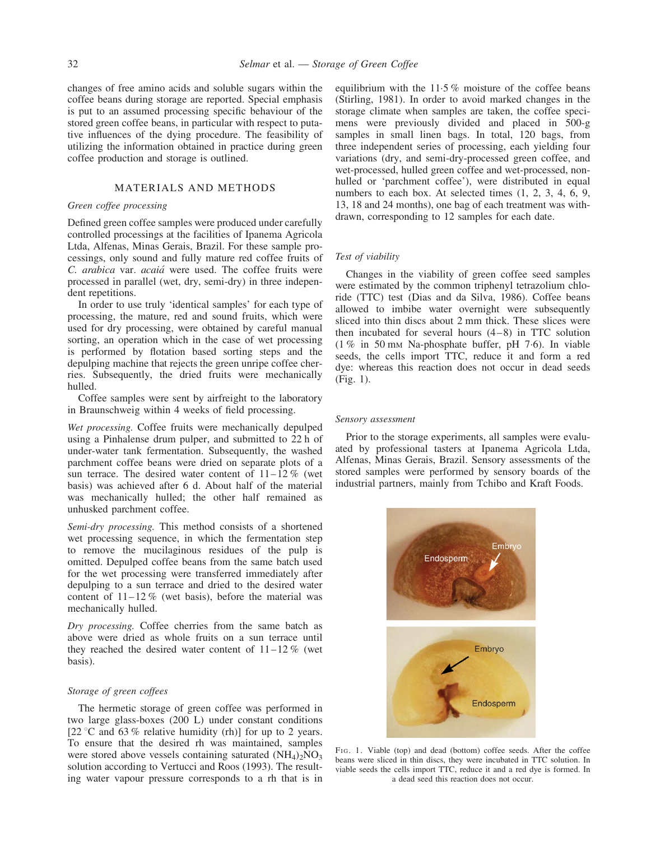changes of free amino acids and soluble sugars within the coffee beans during storage are reported. Special emphasis is put to an assumed processing specific behaviour of the stored green coffee beans, in particular with respect to putative influences of the dying procedure. The feasibility of utilizing the information obtained in practice during green coffee production and storage is outlined.

## MATERIALS AND METHODS

## Green coffee processing

Defined green coffee samples were produced under carefully controlled processings at the facilities of Ipanema Agricola Ltda, Alfenas, Minas Gerais, Brazil. For these sample processings, only sound and fully mature red coffee fruits of C. arabica var. acaiá were used. The coffee fruits were processed in parallel (wet, dry, semi-dry) in three independent repetitions.

In order to use truly 'identical samples' for each type of processing, the mature, red and sound fruits, which were used for dry processing, were obtained by careful manual sorting, an operation which in the case of wet processing is performed by flotation based sorting steps and the depulping machine that rejects the green unripe coffee cherries. Subsequently, the dried fruits were mechanically hulled.

Coffee samples were sent by airfreight to the laboratory in Braunschweig within 4 weeks of field processing.

Wet processing. Coffee fruits were mechanically depulped using a Pinhalense drum pulper, and submitted to 22 h of under-water tank fermentation. Subsequently, the washed parchment coffee beans were dried on separate plots of a sun terrace. The desired water content of  $11-\overline{12}$ % (wet basis) was achieved after 6 d. About half of the material was mechanically hulled; the other half remained as unhusked parchment coffee.

Semi-dry processing. This method consists of a shortened wet processing sequence, in which the fermentation step to remove the mucilaginous residues of the pulp is omitted. Depulped coffee beans from the same batch used for the wet processing were transferred immediately after depulping to a sun terrace and dried to the desired water content of  $11-12\%$  (wet basis), before the material was mechanically hulled.

Dry processing. Coffee cherries from the same batch as above were dried as whole fruits on a sun terrace until they reached the desired water content of  $11-12\%$  (wet basis).

## Storage of green coffees

The hermetic storage of green coffee was performed in two large glass-boxes (200 L) under constant conditions [22 °C and 63 % relative humidity (rh)] for up to 2 years. To ensure that the desired rh was maintained, samples were stored above vessels containing saturated  $(NH_4)_2NO_3$ solution according to Vertucci and Roos (1993). The resulting water vapour pressure corresponds to a rh that is in

equilibrium with the 11.5 % moisture of the coffee beans (Stirling, 1981). In order to avoid marked changes in the storage climate when samples are taken, the coffee specimens were previously divided and placed in 500-g samples in small linen bags. In total, 120 bags, from three independent series of processing, each yielding four variations (dry, and semi-dry-processed green coffee, and wet-processed, hulled green coffee and wet-processed, nonhulled or 'parchment coffee'), were distributed in equal numbers to each box. At selected times  $(1, 2, 3, 4, 6, 9, 1)$ 13, 18 and 24 months), one bag of each treatment was withdrawn, corresponding to 12 samples for each date.

## Test of viability

Changes in the viability of green coffee seed samples were estimated by the common triphenyl tetrazolium chloride (TTC) test (Dias and da Silva, 1986). Coffee beans allowed to imbibe water overnight were subsequently sliced into thin discs about 2 mm thick. These slices were then incubated for several hours  $(4-8)$  in TTC solution  $(1\%$  in 50 mm Na-phosphate buffer, pH 7.6). In viable seeds, the cells import TTC, reduce it and form a red dye: whereas this reaction does not occur in dead seeds (Fig. 1).

#### Sensory assessment

Prior to the storage experiments, all samples were evaluated by professional tasters at Ipanema Agricola Ltda, Alfenas, Minas Gerais, Brazil. Sensory assessments of the stored samples were performed by sensory boards of the industrial partners, mainly from Tchibo and Kraft Foods.



F<sub>1G</sub>. 1. Viable (top) and dead (bottom) coffee seeds. After the coffee beans were sliced in thin discs, they were incubated in TTC solution. In viable seeds the cells import TTC, reduce it and a red dye is formed. In a dead seed this reaction does not occur.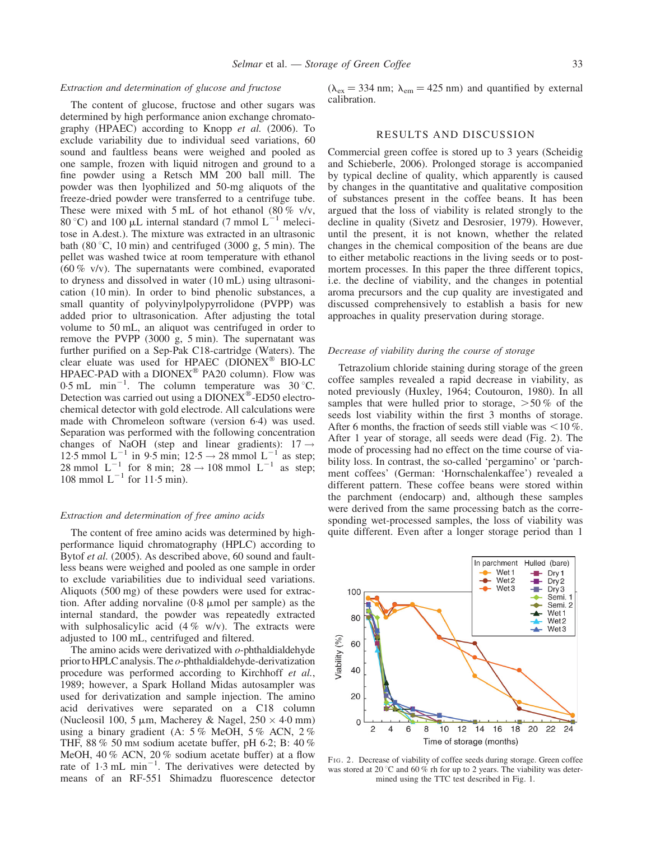#### Extraction and determination of glucose and fructose

The content of glucose, fructose and other sugars was determined by high performance anion exchange chromatography (HPAEC) according to Knopp et al. (2006). To exclude variability due to individual seed variations, 60 sound and faultless beans were weighed and pooled as one sample, frozen with liquid nitrogen and ground to a fine powder using a Retsch MM 200 ball mill. The powder was then lyophilized and 50-mg aliquots of the freeze-dried powder were transferred to a centrifuge tube. These were mixed with  $5$  mL of hot ethanol (80 % v/v, 80 °C) and 100  $\mu$ L internal standard (7 mmol L<sup>-1</sup> melecitose in A.dest.). The mixture was extracted in an ultrasonic bath (80 $\degree$ C, 10 min) and centrifuged (3000 g, 5 min). The pellet was washed twice at room temperature with ethanol  $(60\%$  v/v). The supernatants were combined, evaporated to dryness and dissolved in water (10 mL) using ultrasonication (10 min). In order to bind phenolic substances, a small quantity of polyvinylpolypyrrolidone (PVPP) was added prior to ultrasonication. After adjusting the total volume to 50 mL, an aliquot was centrifuged in order to remove the PVPP (3000 g, 5 min). The supernatant was further purified on a Sep-Pak C18-cartridge (Waters). The clear eluate was used for HPAEC (DIONEX<sup>®</sup> BIO-LC HPAEC-PAD with a DIONEX<sup>®</sup> PA20 column). Flow was  $0.5$  mL min<sup>-1</sup>. The column temperature was  $30^{\circ}$ C. Detection was carried out using a  $DIONEX^{\circledast}$ -ED50 electrochemical detector with gold electrode. All calculations were made with Chromeleon software (version 6.4) was used. Separation was performed with the following concentration changes of NaOH (step and linear gradients):  $17 \rightarrow$ 12.5 mmol  $L^{-1}$  in 9.5 min; 12.5  $\rightarrow$  28 mmol  $L^{-1}$  as step; 28 mmol  $L^{-1}$  for 8 min; 28  $\rightarrow$  108 mmol  $L^{-1}$  as step; 108 mmol  $L^{-1}$  for 11.5 min).

#### Extraction and determination of free amino acids

The content of free amino acids was determined by highperformance liquid chromatography (HPLC) according to Bytof et al. (2005). As described above, 60 sound and faultless beans were weighed and pooled as one sample in order to exclude variabilities due to individual seed variations. Aliquots (500 mg) of these powders were used for extraction. After adding norvaline  $(0.8 \mu mol$  per sample) as the internal standard, the powder was repeatedly extracted with sulphosalicylic acid  $(4\% \text{ w/v})$ . The extracts were adjusted to 100 mL, centrifuged and filtered.

The amino acids were derivatized with  $o$ -phthaldialdehyde prior to HPLC analysis. The o-phthaldialdehyde-derivatization procedure was performed according to Kirchhoff et al., 1989; however, a Spark Holland Midas autosampler was used for derivatization and sample injection. The amino acid derivatives were separated on a C18 column (Nucleosil 100, 5  $\mu$ m, Macherey & Nagel, 250  $\times$  4.0 mm) using a binary gradient (A: 5 % MeOH, 5 % ACN, 2 % THF, 88 % 50 mM sodium acetate buffer, pH 6.2; B: 40 % MeOH, 40 % ACN, 20 % sodium acetate buffer) at a flow rate of 1.3 mL  $min^{-1}$ . The derivatives were detected by means of an RF-551 Shimadzu fluorescence detector ( $\lambda_{\text{ex}}$  = 334 nm;  $\lambda_{\text{em}}$  = 425 nm) and quantified by external calibration.

## RESULTS AND DISCUSSION

Commercial green coffee is stored up to 3 years (Scheidig and Schieberle, 2006). Prolonged storage is accompanied by typical decline of quality, which apparently is caused by changes in the quantitative and qualitative composition of substances present in the coffee beans. It has been argued that the loss of viability is related strongly to the decline in quality (Sivetz and Desrosier, 1979). However, until the present, it is not known, whether the related changes in the chemical composition of the beans are due to either metabolic reactions in the living seeds or to postmortem processes. In this paper the three different topics, i.e. the decline of viability, and the changes in potential aroma precursors and the cup quality are investigated and discussed comprehensively to establish a basis for new approaches in quality preservation during storage.

#### Decrease of viability during the course of storage

Tetrazolium chloride staining during storage of the green coffee samples revealed a rapid decrease in viability, as noted previously (Huxley, 1964; Coutouron, 1980). In all samples that were hulled prior to storage,  $>50\%$  of the seeds lost viability within the first 3 months of storage. After 6 months, the fraction of seeds still viable was  $\leq 10\%$ . After 1 year of storage, all seeds were dead (Fig. 2). The mode of processing had no effect on the time course of viability loss. In contrast, the so-called 'pergamino' or 'parchment coffees' (German: 'Hornschalenkaffee') revealed a different pattern. These coffee beans were stored within the parchment (endocarp) and, although these samples were derived from the same processing batch as the corresponding wet-processed samples, the loss of viability was quite different. Even after a longer storage period than 1



F<sub>1G</sub>. 2. Decrease of viability of coffee seeds during storage. Green coffee was stored at 20 $\degree$ C and 60 % rh for up to 2 years. The viability was determined using the TTC test described in Fig. 1.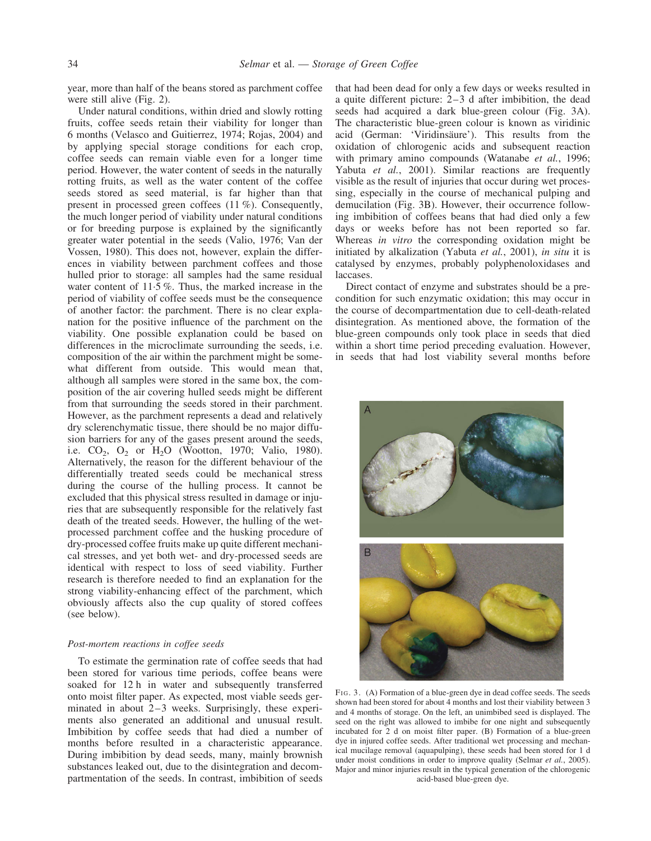year, more than half of the beans stored as parchment coffee were still alive (Fig. 2).

Under natural conditions, within dried and slowly rotting fruits, coffee seeds retain their viability for longer than 6 months (Velasco and Guitierrez, 1974; Rojas, 2004) and by applying special storage conditions for each crop, coffee seeds can remain viable even for a longer time period. However, the water content of seeds in the naturally rotting fruits, as well as the water content of the coffee seeds stored as seed material, is far higher than that present in processed green coffees (11 %). Consequently, the much longer period of viability under natural conditions or for breeding purpose is explained by the significantly greater water potential in the seeds (Valio, 1976; Van der Vossen, 1980). This does not, however, explain the differences in viability between parchment coffees and those hulled prior to storage: all samples had the same residual water content of 11.5 %. Thus, the marked increase in the period of viability of coffee seeds must be the consequence of another factor: the parchment. There is no clear explanation for the positive influence of the parchment on the viability. One possible explanation could be based on differences in the microclimate surrounding the seeds, i.e. composition of the air within the parchment might be somewhat different from outside. This would mean that, although all samples were stored in the same box, the composition of the air covering hulled seeds might be different from that surrounding the seeds stored in their parchment. However, as the parchment represents a dead and relatively dry sclerenchymatic tissue, there should be no major diffusion barriers for any of the gases present around the seeds, i.e.  $CO_2$ ,  $O_2$  or  $H_2O$  (Wootton, 1970; Valio, 1980). Alternatively, the reason for the different behaviour of the differentially treated seeds could be mechanical stress during the course of the hulling process. It cannot be excluded that this physical stress resulted in damage or injuries that are subsequently responsible for the relatively fast death of the treated seeds. However, the hulling of the wetprocessed parchment coffee and the husking procedure of dry-processed coffee fruits make up quite different mechanical stresses, and yet both wet- and dry-processed seeds are identical with respect to loss of seed viability. Further research is therefore needed to find an explanation for the strong viability-enhancing effect of the parchment, which obviously affects also the cup quality of stored coffees (see below).

#### Post-mortem reactions in coffee seeds

To estimate the germination rate of coffee seeds that had been stored for various time periods, coffee beans were soaked for 12 h in water and subsequently transferred onto moist filter paper. As expected, most viable seeds germinated in about 2–3 weeks. Surprisingly, these experiments also generated an additional and unusual result. Imbibition by coffee seeds that had died a number of months before resulted in a characteristic appearance. During imbibition by dead seeds, many, mainly brownish substances leaked out, due to the disintegration and decompartmentation of the seeds. In contrast, imbibition of seeds

that had been dead for only a few days or weeks resulted in a quite different picture: 2–3 d after imbibition, the dead seeds had acquired a dark blue-green colour (Fig. 3A). The characteristic blue-green colour is known as viridinic acid (German: 'Viridinsäure'). This results from the oxidation of chlorogenic acids and subsequent reaction with primary amino compounds (Watanabe et al., 1996; Yabuta et al., 2001). Similar reactions are frequently visible as the result of injuries that occur during wet processing, especially in the course of mechanical pulping and demucilation (Fig. 3B). However, their occurrence following imbibition of coffees beans that had died only a few days or weeks before has not been reported so far. Whereas *in vitro* the corresponding oxidation might be initiated by alkalization (Yabuta et al., 2001), in situ it is catalysed by enzymes, probably polyphenoloxidases and laccases.

Direct contact of enzyme and substrates should be a precondition for such enzymatic oxidation; this may occur in the course of decompartmentation due to cell-death-related disintegration. As mentioned above, the formation of the blue-green compounds only took place in seeds that died within a short time period preceding evaluation. However, in seeds that had lost viability several months before



F<sub>IG</sub>, 3. (A) Formation of a blue-green dye in dead coffee seeds. The seeds shown had been stored for about 4 months and lost their viability between 3 and 4 months of storage. On the left, an unimbibed seed is displayed. The seed on the right was allowed to imbibe for one night and subsequently incubated for 2 d on moist filter paper. (B) Formation of a blue-green dye in injured coffee seeds. After traditional wet processing and mechanical mucilage removal (aquapulping), these seeds had been stored for 1 d under moist conditions in order to improve quality (Selmar et al., 2005). Major and minor injuries result in the typical generation of the chlorogenic acid-based blue-green dye.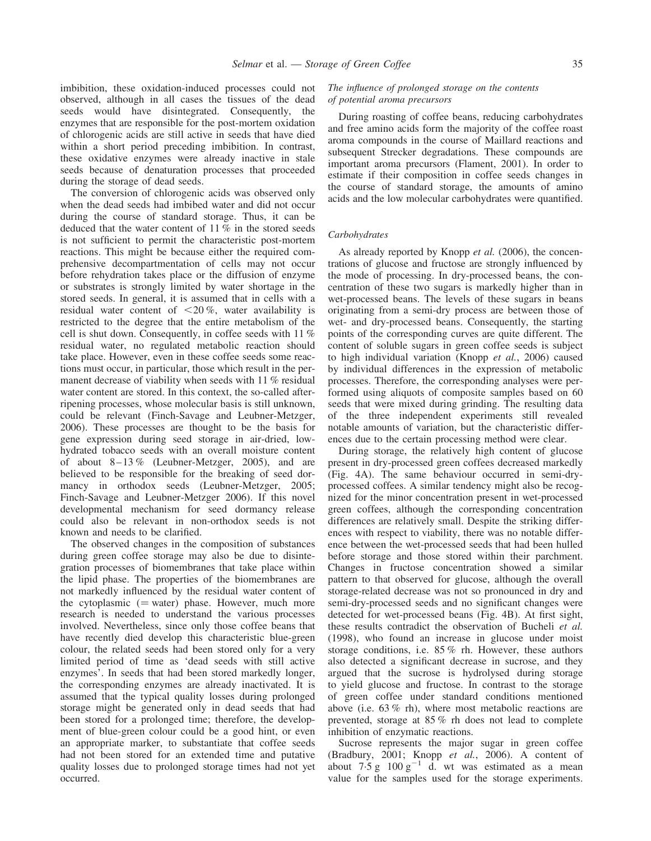imbibition, these oxidation-induced processes could not observed, although in all cases the tissues of the dead seeds would have disintegrated. Consequently, the enzymes that are responsible for the post-mortem oxidation of chlorogenic acids are still active in seeds that have died within a short period preceding imbibition. In contrast, these oxidative enzymes were already inactive in stale seeds because of denaturation processes that proceeded during the storage of dead seeds.

The conversion of chlorogenic acids was observed only when the dead seeds had imbibed water and did not occur during the course of standard storage. Thus, it can be deduced that the water content of 11 % in the stored seeds is not sufficient to permit the characteristic post-mortem reactions. This might be because either the required comprehensive decompartmentation of cells may not occur before rehydration takes place or the diffusion of enzyme or substrates is strongly limited by water shortage in the stored seeds. In general, it is assumed that in cells with a residual water content of  $\langle 20 \, % \rangle$ , water availability is restricted to the degree that the entire metabolism of the cell is shut down. Consequently, in coffee seeds with 11 % residual water, no regulated metabolic reaction should take place. However, even in these coffee seeds some reactions must occur, in particular, those which result in the permanent decrease of viability when seeds with 11 % residual water content are stored. In this context, the so-called afterripening processes, whose molecular basis is still unknown, could be relevant (Finch-Savage and Leubner-Metzger, 2006). These processes are thought to be the basis for gene expression during seed storage in air-dried, lowhydrated tobacco seeds with an overall moisture content of about 8–13 % (Leubner-Metzger, 2005), and are believed to be responsible for the breaking of seed dormancy in orthodox seeds (Leubner-Metzger, 2005; Finch-Savage and Leubner-Metzger 2006). If this novel developmental mechanism for seed dormancy release could also be relevant in non-orthodox seeds is not known and needs to be clarified.

The observed changes in the composition of substances during green coffee storage may also be due to disintegration processes of biomembranes that take place within the lipid phase. The properties of the biomembranes are not markedly influenced by the residual water content of the cytoplasmic  $($  = water) phase. However, much more research is needed to understand the various processes involved. Nevertheless, since only those coffee beans that have recently died develop this characteristic blue-green colour, the related seeds had been stored only for a very limited period of time as 'dead seeds with still active enzymes'. In seeds that had been stored markedly longer, the corresponding enzymes are already inactivated. It is assumed that the typical quality losses during prolonged storage might be generated only in dead seeds that had been stored for a prolonged time; therefore, the development of blue-green colour could be a good hint, or even an appropriate marker, to substantiate that coffee seeds had not been stored for an extended time and putative quality losses due to prolonged storage times had not yet occurred.

## The influence of prolonged storage on the contents of potential aroma precursors

During roasting of coffee beans, reducing carbohydrates and free amino acids form the majority of the coffee roast aroma compounds in the course of Maillard reactions and subsequent Strecker degradations. These compounds are important aroma precursors (Flament, 2001). In order to estimate if their composition in coffee seeds changes in the course of standard storage, the amounts of amino acids and the low molecular carbohydrates were quantified.

#### **Carbohydrates**

As already reported by Knopp *et al.* (2006), the concentrations of glucose and fructose are strongly influenced by the mode of processing. In dry-processed beans, the concentration of these two sugars is markedly higher than in wet-processed beans. The levels of these sugars in beans originating from a semi-dry process are between those of wet- and dry-processed beans. Consequently, the starting points of the corresponding curves are quite different. The content of soluble sugars in green coffee seeds is subject to high individual variation (Knopp et al., 2006) caused by individual differences in the expression of metabolic processes. Therefore, the corresponding analyses were performed using aliquots of composite samples based on 60 seeds that were mixed during grinding. The resulting data of the three independent experiments still revealed notable amounts of variation, but the characteristic differences due to the certain processing method were clear.

During storage, the relatively high content of glucose present in dry-processed green coffees decreased markedly (Fig. 4A). The same behaviour occurred in semi-dryprocessed coffees. A similar tendency might also be recognized for the minor concentration present in wet-processed green coffees, although the corresponding concentration differences are relatively small. Despite the striking differences with respect to viability, there was no notable difference between the wet-processed seeds that had been hulled before storage and those stored within their parchment. Changes in fructose concentration showed a similar pattern to that observed for glucose, although the overall storage-related decrease was not so pronounced in dry and semi-dry-processed seeds and no significant changes were detected for wet-processed beans (Fig. 4B). At first sight, these results contradict the observation of Bucheli et al. (1998), who found an increase in glucose under moist storage conditions, i.e. 85 % rh. However, these authors also detected a significant decrease in sucrose, and they argued that the sucrose is hydrolysed during storage to yield glucose and fructose. In contrast to the storage of green coffee under standard conditions mentioned above (i.e. 63 % rh), where most metabolic reactions are prevented, storage at 85 % rh does not lead to complete inhibition of enzymatic reactions.

Sucrose represents the major sugar in green coffee (Bradbury, 2001; Knopp et al., 2006). A content of about  $7.5 g$   $100 g^{-1}$  d. wt was estimated as a mean value for the samples used for the storage experiments.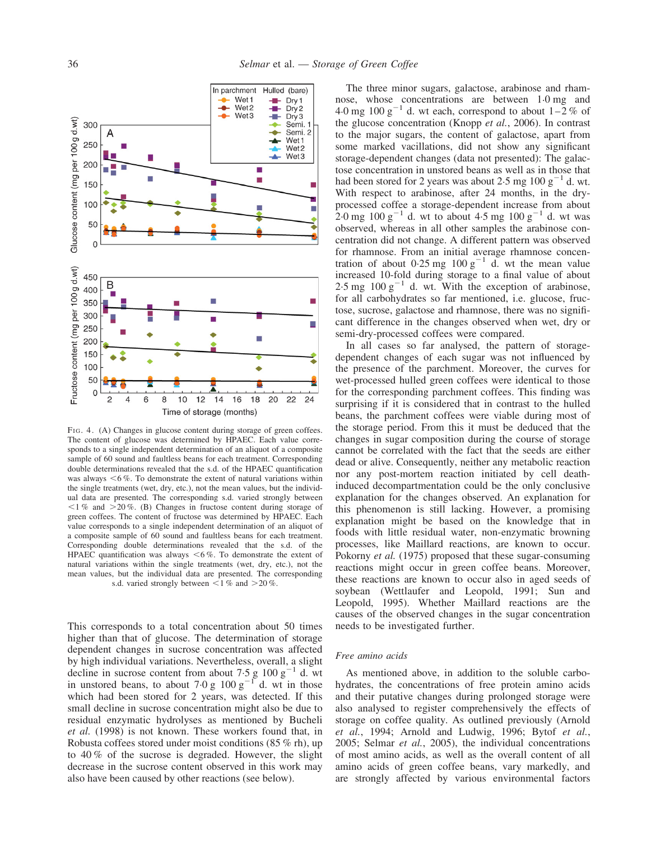

F<sub>IG</sub>. 4. (A) Changes in glucose content during storage of green coffees. The content of glucose was determined by HPAEC. Each value corresponds to a single independent determination of an aliquot of a composite sample of 60 sound and faultless beans for each treatment. Corresponding double determinations revealed that the s.d. of the HPAEC quantification was always  $<6\%$ . To demonstrate the extent of natural variations within the single treatments (wet, dry, etc.), not the mean values, but the individual data are presented. The corresponding s.d. varied strongly between  $\leq$ 1 % and  $\geq$ 20 %. (B) Changes in fructose content during storage of green coffees. The content of fructose was determined by HPAEC. Each value corresponds to a single independent determination of an aliquot of a composite sample of 60 sound and faultless beans for each treatment. Corresponding double determinations revealed that the s.d. of the HPAEC quantification was always  $<6\%$ . To demonstrate the extent of natural variations within the single treatments (wet, dry, etc.), not the mean values, but the individual data are presented. The corresponding s.d. varied strongly between  $\leq 1\%$  and  $>20\%$ .

This corresponds to a total concentration about 50 times higher than that of glucose. The determination of storage dependent changes in sucrose concentration was affected by high individual variations. Nevertheless, overall, a slight decline in sucrose content from about 7.5 g 100  $g^{-1}$  d. wt in unstored beans, to about 7.0 g  $100 \text{ g}^{-1}$  d. wt in those which had been stored for 2 years, was detected. If this small decline in sucrose concentration might also be due to residual enzymatic hydrolyses as mentioned by Bucheli et al. (1998) is not known. These workers found that, in Robusta coffees stored under moist conditions (85 % rh), up to 40 % of the sucrose is degraded. However, the slight decrease in the sucrose content observed in this work may also have been caused by other reactions (see below).

The three minor sugars, galactose, arabinose and rhamnose, whose concentrations are between 1.0 mg and 4.0 mg 100 g<sup>-1</sup> d. wt each, correspond to about  $1-\frac{2}{x}$  of the glucose concentration (Knopp et al., 2006). In contrast to the major sugars, the content of galactose, apart from some marked vacillations, did not show any significant storage-dependent changes (data not presented): The galactose concentration in unstored beans as well as in those that had been stored for 2 years was about 2.5 mg 100  $g^{-1}$  d. wt. With respect to arabinose, after 24 months, in the dryprocessed coffee a storage-dependent increase from about 2.0 mg  $100 g^{-1}$  d. wt to about 4.5 mg  $100 g^{-1}$  d. wt was observed, whereas in all other samples the arabinose concentration did not change. A different pattern was observed for rhamnose. From an initial average rhamnose concentration of about  $0.25$  mg  $100 \text{ g}^{-1}$  d. wt the mean value increased 10-fold during storage to a final value of about 2.5 mg  $100 g^{-1}$  d. wt. With the exception of arabinose, for all carbohydrates so far mentioned, i.e. glucose, fructose, sucrose, galactose and rhamnose, there was no significant difference in the changes observed when wet, dry or semi-dry-processed coffees were compared.

In all cases so far analysed, the pattern of storagedependent changes of each sugar was not influenced by the presence of the parchment. Moreover, the curves for wet-processed hulled green coffees were identical to those for the corresponding parchment coffees. This finding was surprising if it is considered that in contrast to the hulled beans, the parchment coffees were viable during most of the storage period. From this it must be deduced that the changes in sugar composition during the course of storage cannot be correlated with the fact that the seeds are either dead or alive. Consequently, neither any metabolic reaction nor any post-mortem reaction initiated by cell deathinduced decompartmentation could be the only conclusive explanation for the changes observed. An explanation for this phenomenon is still lacking. However, a promising explanation might be based on the knowledge that in foods with little residual water, non-enzymatic browning processes, like Maillard reactions, are known to occur. Pokorny et al. (1975) proposed that these sugar-consuming reactions might occur in green coffee beans. Moreover, these reactions are known to occur also in aged seeds of soybean (Wettlaufer and Leopold, 1991; Sun and Leopold, 1995). Whether Maillard reactions are the causes of the observed changes in the sugar concentration needs to be investigated further.

## Free amino acids

As mentioned above, in addition to the soluble carbohydrates, the concentrations of free protein amino acids and their putative changes during prolonged storage were also analysed to register comprehensively the effects of storage on coffee quality. As outlined previously (Arnold et al., 1994; Arnold and Ludwig, 1996; Bytof et al., 2005; Selmar et al., 2005), the individual concentrations of most amino acids, as well as the overall content of all amino acids of green coffee beans, vary markedly, and are strongly affected by various environmental factors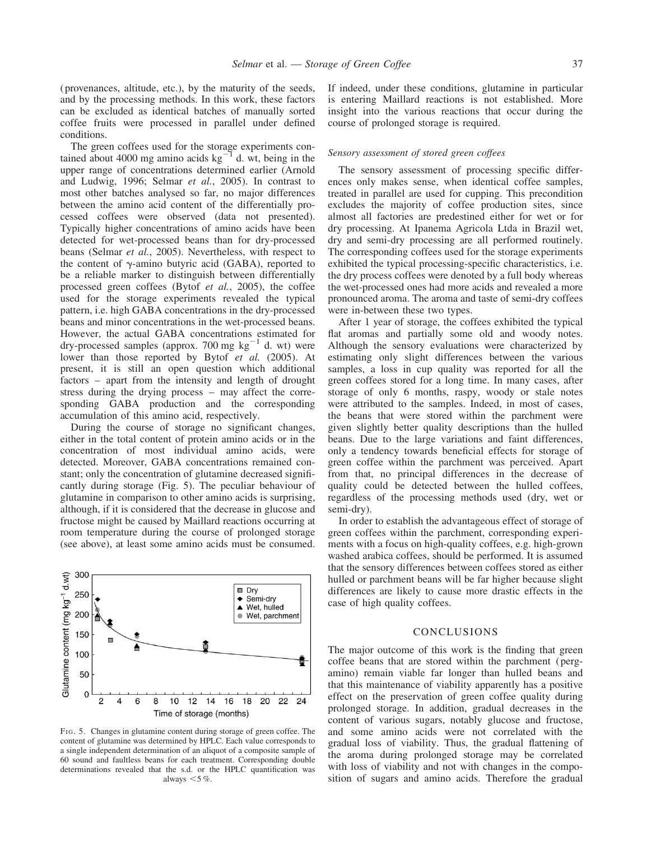(provenances, altitude, etc.), by the maturity of the seeds, and by the processing methods. In this work, these factors can be excluded as identical batches of manually sorted coffee fruits were processed in parallel under defined conditions.

The green coffees used for the storage experiments contained about 4000 mg amino acids  $kg^{-1}$  d. wt, being in the upper range of concentrations determined earlier (Arnold and Ludwig, 1996; Selmar et al., 2005). In contrast to most other batches analysed so far, no major differences between the amino acid content of the differentially processed coffees were observed (data not presented). Typically higher concentrations of amino acids have been detected for wet-processed beans than for dry-processed beans (Selmar et al., 2005). Nevertheless, with respect to the content of  $\gamma$ -amino butyric acid (GABA), reported to be a reliable marker to distinguish between differentially processed green coffees (Bytof et al., 2005), the coffee used for the storage experiments revealed the typical pattern, i.e. high GABA concentrations in the dry-processed beans and minor concentrations in the wet-processed beans. However, the actual GABA concentrations estimated for dry-processed samples (approx. 700 mg kg<sup>-1</sup> d. wt) were lower than those reported by Bytof et al. (2005). At present, it is still an open question which additional factors – apart from the intensity and length of drought stress during the drying process – may affect the corresponding GABA production and the corresponding accumulation of this amino acid, respectively.

During the course of storage no significant changes, either in the total content of protein amino acids or in the concentration of most individual amino acids, were detected. Moreover, GABA concentrations remained constant; only the concentration of glutamine decreased significantly during storage (Fig. 5). The peculiar behaviour of glutamine in comparison to other amino acids is surprising, although, if it is considered that the decrease in glucose and fructose might be caused by Maillard reactions occurring at room temperature during the course of prolonged storage (see above), at least some amino acids must be consumed.



FIG. 5. Changes in glutamine content during storage of green coffee. The content of glutamine was determined by HPLC. Each value corresponds to a single independent determination of an aliquot of a composite sample of 60 sound and faultless beans for each treatment. Corresponding double determinations revealed that the s.d. or the HPLC quantification was always  $<$  5 %.

If indeed, under these conditions, glutamine in particular is entering Maillard reactions is not established. More insight into the various reactions that occur during the course of prolonged storage is required.

## Sensory assessment of stored green coffees

The sensory assessment of processing specific differences only makes sense, when identical coffee samples, treated in parallel are used for cupping. This precondition excludes the majority of coffee production sites, since almost all factories are predestined either for wet or for dry processing. At Ipanema Agricola Ltda in Brazil wet, dry and semi-dry processing are all performed routinely. The corresponding coffees used for the storage experiments exhibited the typical processing-specific characteristics, i.e. the dry process coffees were denoted by a full body whereas the wet-processed ones had more acids and revealed a more pronounced aroma. The aroma and taste of semi-dry coffees were in-between these two types.

After 1 year of storage, the coffees exhibited the typical flat aromas and partially some old and woody notes. Although the sensory evaluations were characterized by estimating only slight differences between the various samples, a loss in cup quality was reported for all the green coffees stored for a long time. In many cases, after storage of only 6 months, raspy, woody or stale notes were attributed to the samples. Indeed, in most of cases, the beans that were stored within the parchment were given slightly better quality descriptions than the hulled beans. Due to the large variations and faint differences, only a tendency towards beneficial effects for storage of green coffee within the parchment was perceived. Apart from that, no principal differences in the decrease of quality could be detected between the hulled coffees, regardless of the processing methods used (dry, wet or semi-dry).

In order to establish the advantageous effect of storage of green coffees within the parchment, corresponding experiments with a focus on high-quality coffees, e.g. high-grown washed arabica coffees, should be performed. It is assumed that the sensory differences between coffees stored as either hulled or parchment beans will be far higher because slight differences are likely to cause more drastic effects in the case of high quality coffees.

## CONCLUSIONS

The major outcome of this work is the finding that green coffee beans that are stored within the parchment (pergamino) remain viable far longer than hulled beans and that this maintenance of viability apparently has a positive effect on the preservation of green coffee quality during prolonged storage. In addition, gradual decreases in the content of various sugars, notably glucose and fructose, and some amino acids were not correlated with the gradual loss of viability. Thus, the gradual flattening of the aroma during prolonged storage may be correlated with loss of viability and not with changes in the composition of sugars and amino acids. Therefore the gradual